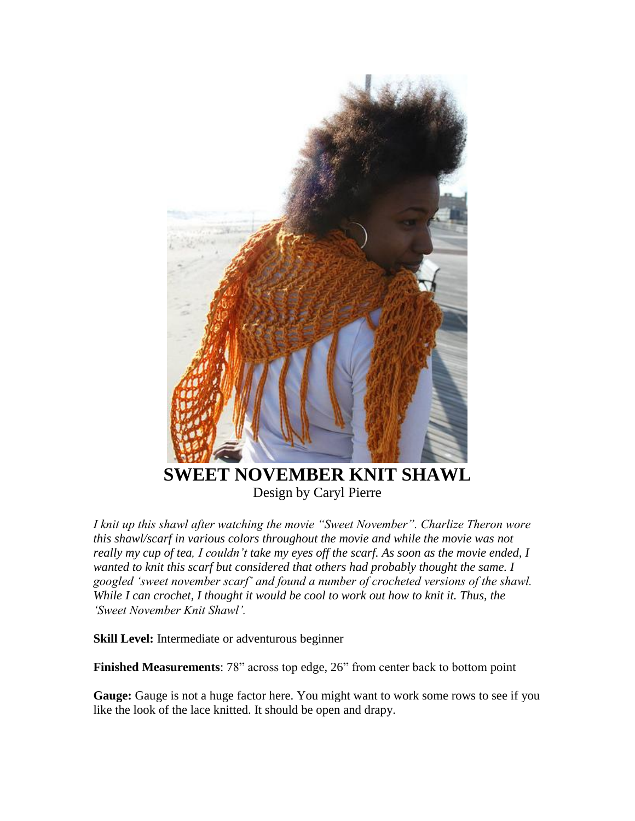

Design by Caryl Pierre

*I knit up this shawl after watching the movie "Sweet November". Charlize Theron wore this shawl/scarf in various colors throughout the movie and while the movie was not really my cup of tea, I couldn"t take my eyes off the scarf. As soon as the movie ended, I wanted to knit this scarf but considered that others had probably thought the same. I googled "sweet november scarf" and found a number of crocheted versions of the shawl. While I can crochet, I thought it would be cool to work out how to knit it. Thus, the "Sweet November Knit Shawl".*

**Skill Level:** Intermediate or adventurous beginner

**Finished Measurements**: 78" across top edge, 26" from center back to bottom point

**Gauge:** Gauge is not a huge factor here. You might want to work some rows to see if you like the look of the lace knitted. It should be open and drapy.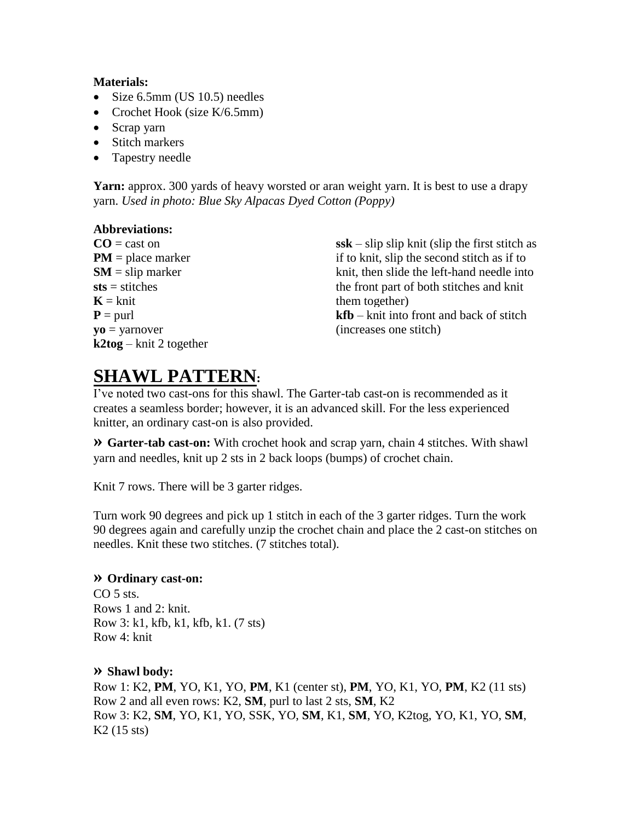#### **Materials:**

- Size 6.5mm (US 10.5) needles
- Crochet Hook (size K/6.5mm)
- Scrap yarn
- Stitch markers
- Tapestry needle

**Yarn:** approx. 300 yards of heavy worsted or aran weight yarn. It is best to use a drapy yarn. *Used in photo: Blue Sky Alpacas Dyed Cotton (Poppy)*

### **Abbreviations:**

 $CO =$  cast on **PM** = place marker  $SM =$ slip marker **sts** = stitches  $K = k$ nit  $P = \text{purl}$ **yo** = yarnover **k2tog** – knit 2 together **ssk** – slip slip knit (slip the first stitch as if to knit, slip the second stitch as if to knit, then slide the left-hand needle into the front part of both stitches and knit them together)

**kfb** – knit into front and back of stitch (increases one stitch)

## **SHAWL PATTERN:**

I've noted two cast-ons for this shawl. The Garter-tab cast-on is recommended as it creates a seamless border; however, it is an advanced skill. For the less experienced knitter, an ordinary cast-on is also provided.

**» Garter-tab cast-on:** With crochet hook and scrap yarn, chain 4 stitches. With shawl yarn and needles, knit up 2 sts in 2 back loops (bumps) of crochet chain.

Knit 7 rows. There will be 3 garter ridges.

Turn work 90 degrees and pick up 1 stitch in each of the 3 garter ridges. Turn the work 90 degrees again and carefully unzip the crochet chain and place the 2 cast-on stitches on needles. Knit these two stitches. (7 stitches total).

#### **» Ordinary cast-on:**

CO<sub>5</sub> sts. Rows 1 and 2: knit. Row 3: k1, kfb, k1, kfb, k1. (7 sts) Row 4: knit

#### **» Shawl body:**

Row 1: K2, **PM**, YO, K1, YO, **PM**, K1 (center st), **PM**, YO, K1, YO, **PM**, K2 (11 sts) Row 2 and all even rows: K2, **SM**, purl to last 2 sts, **SM**, K2 Row 3: K2, **SM**, YO, K1, YO, SSK, YO, **SM**, K1, **SM**, YO, K2tog, YO, K1, YO, **SM**, K2 (15 sts)